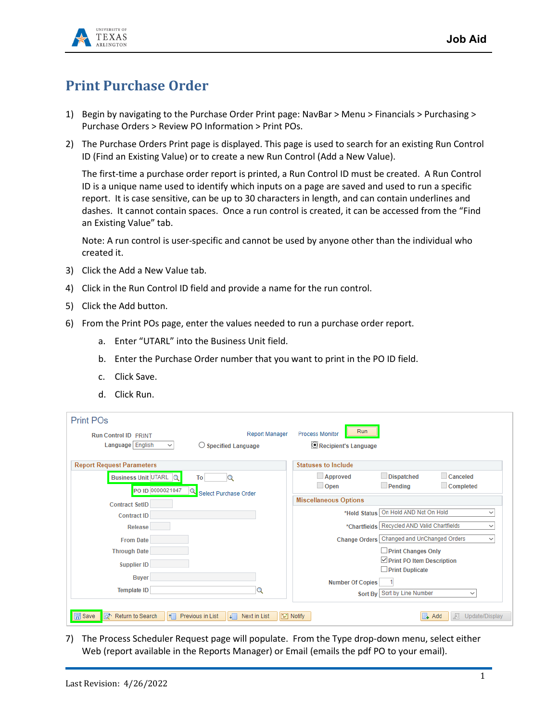

## **Print Purchase Order**

- 1) Begin by navigating to the Purchase Order Print page: NavBar > Menu > Financials > Purchasing > Purchase Orders > Review PO Information > Print POs.
- 2) The Purchase Orders Print page is displayed. This page is used to search for an existing Run Control ID (Find an Existing Value) or to create a new Run Control (Add a New Value).

The first-time a purchase order report is printed, a Run Control ID must be created. A Run Control ID is a unique name used to identify which inputs on a page are saved and used to run a specific report. It is case sensitive, can be up to 30 characters in length, and can contain underlines and dashes. It cannot contain spaces. Once a run control is created, it can be accessed from the "Find an Existing Value" tab.

Note: A run control is user-specific and cannot be used by anyone other than the individual who created it.

- 3) Click the Add a New Value tab.
- 4) Click in the Run Control ID field and provide a name for the run control.
- 5) Click the Add button.
- 6) From the Print POs page, enter the values needed to run a purchase order report.
	- a. Enter "UTARL" into the Business Unit field.
	- b. Enter the Purchase Order number that you want to print in the PO ID field.
	- c. Click Save.
	- d. Click Run.

| Print PO <sub>s</sub>                                         |                                              |                               |                                               |                     |
|---------------------------------------------------------------|----------------------------------------------|-------------------------------|-----------------------------------------------|---------------------|
| <b>Run Control ID PRINT</b>                                   | <b>Report Manager</b>                        | Run<br><b>Process Monitor</b> |                                               |                     |
| Language English<br>$\checkmark$                              | $\bigcirc$ Specified Language                | Recipient's Language          |                                               |                     |
| <b>Report Request Parameters</b>                              |                                              | <b>Statuses to Include</b>    |                                               |                     |
| Business Unit UTARL Q                                         | To                                           | Approved                      | <b>Dispatched</b>                             | Canceled            |
| PO ID 0000021047                                              | Q<br>Select Purchase Order                   | $\Box$ Open                   | $\Box$ Pending                                | $\Box$ Completed    |
| <b>Contract SetID</b>                                         |                                              | <b>Miscellaneous Options</b>  |                                               |                     |
| <b>Contract ID</b>                                            |                                              | *Hold Status                  | On Hold AND Not On Hold                       | $\checkmark$        |
| <b>Release</b>                                                |                                              |                               | *Chartfields   Recycled AND Valid Chartfields | $\checkmark$        |
| <b>From Date</b>                                              |                                              |                               | Change Orders   Changed and UnChanged Orders  | $\checkmark$        |
| <b>Through Date</b>                                           |                                              |                               | $\Box$ Print Changes Only                     |                     |
| <b>Supplier ID</b>                                            |                                              |                               | $\triangleright$ Print PO Item Description    |                     |
| <b>Buver</b>                                                  |                                              |                               | $\Box$ Print Duplicate                        |                     |
|                                                               |                                              | <b>Number Of Copies</b>       |                                               |                     |
| <b>Template ID</b>                                            | Q                                            |                               | Sort By Sort by Line Number                   | $\checkmark$        |
| <b>日</b> Save<br>a <sup>+</sup> Return to Search<br><b>If</b> | Previous in List<br><b>Next in List</b><br>ᆌ | $\Box$ Notify                 | $\overline{A}$ Add                            | Update/Display<br>犀 |

7) The Process Scheduler Request page will populate. From the Type drop-down menu, select either Web (report available in the Reports Manager) or Email (emails the pdf PO to your email).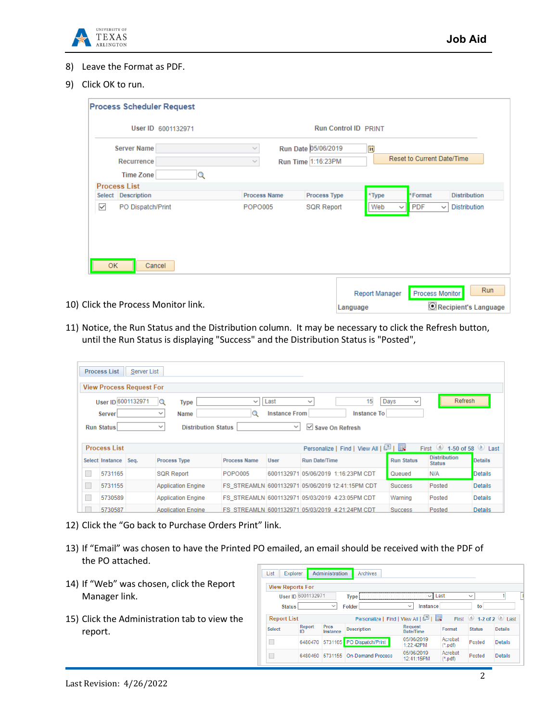

- 8) Leave the Format as PDF.
- 9) Click OK to run.

| User ID 6001132971                      |                     | <b>Run Control ID PRINT</b>               |                                                                          |
|-----------------------------------------|---------------------|-------------------------------------------|--------------------------------------------------------------------------|
| <b>Server Name</b><br><b>Recurrence</b> | v<br>$\sim$         | Run Date 05/06/2019<br>Run Time 1:16:23PM | n<br><b>Reset to Current Date/Time</b>                                   |
| Q<br><b>Time Zone</b>                   |                     |                                           |                                                                          |
| Process List                            |                     |                                           |                                                                          |
| Select Description                      | <b>Process Name</b> | <b>Process Type</b>                       | *Format<br>*Type<br><b>Distribution</b>                                  |
| $\checkmark$<br>PO Dispatch/Print       | POPO005             | <b>SQR Report</b>                         | Web<br><b>PDF</b><br><b>Distribution</b><br>$\checkmark$<br>$\checkmark$ |
|                                         |                     |                                           |                                                                          |

11) Notice, the Run Status and the Distribution column. It may be necessary to click the Refresh button, until the Run Status is displaying "Success" and the Distribution Status is "Posted",

|        |                    | <b>View Process Request For</b> |                                            |                                                  |                      |                          |                                       |                      |                                                |                |
|--------|--------------------|---------------------------------|--------------------------------------------|--------------------------------------------------|----------------------|--------------------------|---------------------------------------|----------------------|------------------------------------------------|----------------|
|        | User ID 6001132971 |                                 | <b>Type</b><br>lQ                          | $\checkmark$                                     | Last                 | $\checkmark$             | 15                                    | Days<br>$\checkmark$ | Refresh                                        |                |
|        | <b>Server</b>      |                                 | Name<br>$\checkmark$                       |                                                  | <b>Instance From</b> |                          | <b>Instance To</b>                    |                      |                                                |                |
|        | <b>Run Status</b>  |                                 | <b>Distribution Status</b><br>$\checkmark$ |                                                  | $\checkmark$         | $\vee$ Save On Refresh   |                                       |                      |                                                |                |
|        |                    |                                 |                                            |                                                  |                      |                          |                                       |                      |                                                |                |
|        |                    |                                 |                                            |                                                  |                      |                          |                                       |                      |                                                |                |
|        | Process List       |                                 |                                            |                                                  |                      |                          | Personalize   Find   View All   2   ま |                      | $\bigcirc$ 1-50 of 58 $\bigcirc$ Last<br>First |                |
|        | Select Instance    | Sea.                            | <b>Process Type</b>                        | <b>Process Name</b>                              | <b>User</b>          | <b>Run Date/Time</b>     |                                       | <b>Run Status</b>    | <b>Distribution</b><br><b>Status</b>           | <b>Details</b> |
|        | 5731165            |                                 | <b>SQR Report</b>                          | <b>POPO005</b>                                   | 6001132971           | 05/06/2019 1:16:23PM CDT |                                       | Queued               | N/A                                            | <b>Details</b> |
| L      | 5731155            |                                 | <b>Application Engine</b>                  | FS STREAMLN 6001132971 05/06/2019 12:41:15PM CDT |                      |                          |                                       | <b>Success</b>       | Posted                                         | <b>Details</b> |
| L<br>П | 5730589            |                                 | <b>Application Engine</b>                  | FS STREAMLN 6001132971 05/03/2019 4:23:05PM CDT  |                      |                          |                                       | Warning              | Posted                                         | Details        |

- 12) Click the "Go back to Purchase Orders Print" link.
- 13) If "Email" was chosen to have the Printed PO emailed, an email should be received with the PDF of the PO attached.
- 14) If "Web" was chosen, click the Report Manager link.
- 15) Click the Administration tab to view the report.

|                    | <b>View Reports For</b> |                         |                                       |                             |                     |                      |                         |
|--------------------|-------------------------|-------------------------|---------------------------------------|-----------------------------|---------------------|----------------------|-------------------------|
|                    | User ID 6001132971      |                         | <b>Type</b>                           | $\mathsf{v}$ 1              | Last                | $\checkmark$         |                         |
| <b>Status</b>      |                         | $\checkmark$            | Folder                                | Instance<br>$\checkmark$    |                     | to                   |                         |
| <b>Report List</b> |                         |                         | Personalize   Find   View All   그   표 |                             |                     | First $\circledcirc$ | 1-2 of 2 $\bullet$ Last |
|                    |                         |                         |                                       |                             |                     |                      |                         |
| <b>Select</b>      | Report<br>ID            | <b>Prcs</b><br>Instance | <b>Description</b>                    | <b>Request</b><br>Date/Time | Format              | <b>Status</b>        | <b>Defails</b>          |
|                    | 6480470                 |                         | 5731165 PO Dispatch/Print             | 05/06/2019<br>1:22:42PM     | Acrobat<br>$(*pdf)$ | Posted               | <b>Details</b>          |